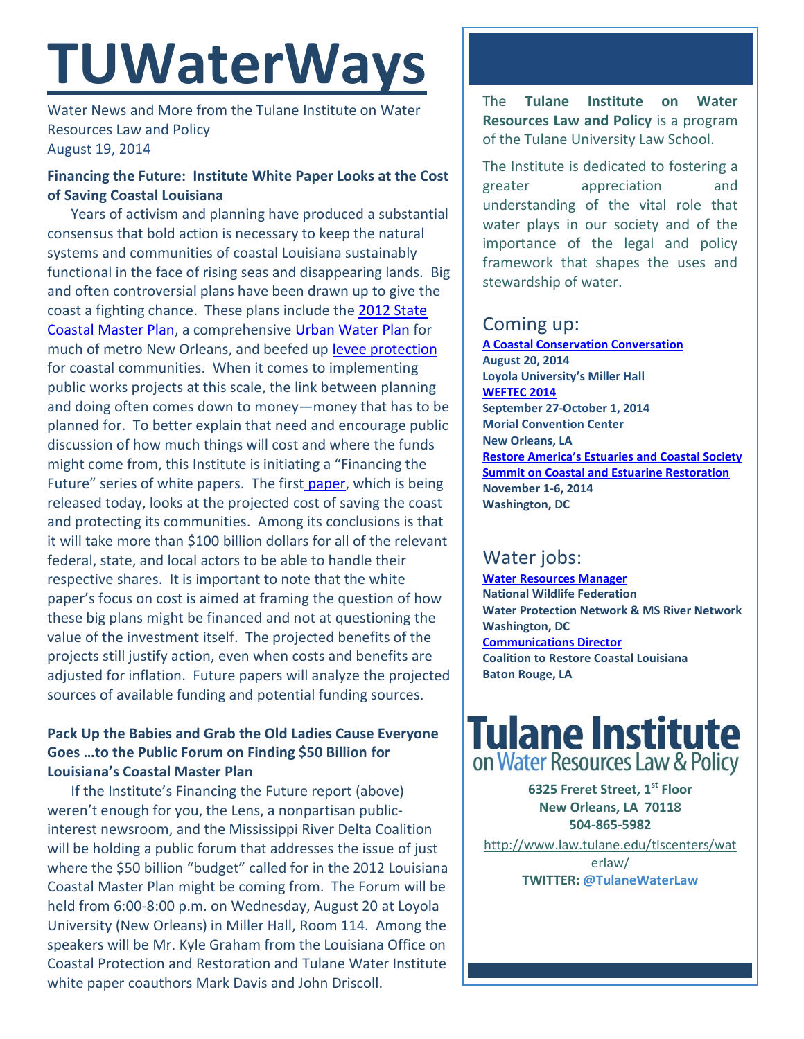# **TUWaterWays**

Water News and More from the Tulane Institute on Water Resources Law and Policy August 19, 2014

## **Financing the Future: Institute White Paper Looks at the Cost of Saving Coastal Louisiana**

Years of activism and planning have produced a substantial consensus that bold action is necessary to keep the natural systems and communities of coastal Louisiana sustainably functional in the face of rising seas and disappearing lands. Big and often controversial plans have been drawn up to give the coast a fighting chance. These plans include the [2012 State](http://www.coastalmasterplan.louisiana.gov/2012-master-plan/final-master-plan/)  [Coastal Master Plan,](http://www.coastalmasterplan.louisiana.gov/2012-master-plan/final-master-plan/) a comprehensiv[e Urban Water Plan](http://livingwithwater.com/urban_water_plan/about/) for much of metro New Orleans, and beefed up [levee protection](https://www.govtrack.us/congress/bills/113/hr3080/text) for coastal communities. When it comes to implementing public works projects at this scale, the link between planning and doing often comes down to money—money that has to be planned for. To better explain that need and encourage public discussion of how much things will cost and where the funds might come from, this Institute is initiating a "Financing the Future" series of white papers. The first [paper,](http://www.law.tulane.edu/uploadedFiles/Institutes_and_Centers/Water_Resources_Law_and_Policy/Content/Financing%20the%20Future%20Pt%201--The%20Cost.pdf) which is being released today, looks at the projected cost of saving the coast and protecting its communities. Among its conclusions is that it will take more than \$100 billion dollars for all of the relevant federal, state, and local actors to be able to handle their respective shares. It is important to note that the white paper's focus on cost is aimed at framing the question of how these big plans might be financed and not at questioning the value of the investment itself. The projected benefits of the projects still justify action, even when costs and benefits are adjusted for inflation. Future papers will analyze the projected sources of available funding and potential funding sources.

## **Pack Up the Babies and Grab the Old Ladies Cause Everyone Goes …to the Public Forum on Finding \$50 Billion for Louisiana's Coastal Master Plan**

If the Institute's Financing the Future report (above) weren't enough for you, the Lens, a nonpartisan publicinterest newsroom, and the Mississippi River Delta Coalition will be holding a public forum that addresses the issue of just where the \$50 billion "budget" called for in the 2012 Louisiana Coastal Master Plan might be coming from. The Forum will be held from 6:00-8:00 p.m. on Wednesday, August 20 at Loyola University (New Orleans) in Miller Hall, Room 114. Among the speakers will be Mr. Kyle Graham from the Louisiana Office on Coastal Protection and Restoration and Tulane Water Institute white paper coauthors Mark Davis and John Driscoll.

The **Tulane Institute on Water Resources Law and Policy** is a program of the Tulane University Law School.

The Institute is dedicated to fostering a greater appreciation and understanding of the vital role that water plays in our society and of the importance of the legal and policy framework that shapes the uses and stewardship of water.

# Coming up:

**[A Coastal Conservation Conversation](http://thelensnola.org/2014/07/23/youre-invited-join-us-to-talk-about-the-cost-of-restoring-our-coast-and-who-will-pay/) August 20, 2014 Loyola University's Miller Hall [WEFTEC 2014](http://www.weftec.org/registration/) September 27-October 1, 2014 Morial Convention Center New Orleans, LA [Restore America's Estuaries and Coastal Society](http://r20.rs6.net/tn.jsp?f=0012iufhQITsCGpmic7Nj0W1INi8-6h80uescyOvfS_bUMX-e_StguS58p5EHh6nRgEmQNhq-IEmHfNI66r1WLUI1nmVYTd3If6B4-ZKjflPH2cZPZ528UxKk004cWieAbuKn8kMmuGt7xkzSf_c1RUYplspmEGAxwxZCHUx7hzNHc=&c=3B5vsP5Gpxft541Pxo12cjeRrFLjmc8b5erclL2Atj1KAgmybibFyw==&ch=lOjBhN14duvjTvW9T_cXNaf8o7Y3dN3YSL3BBwkYtqxDV6sYZHStiA==)  [Summit on Coastal and Estuarine Restoration](http://r20.rs6.net/tn.jsp?f=0012iufhQITsCGpmic7Nj0W1INi8-6h80uescyOvfS_bUMX-e_StguS58p5EHh6nRgEmQNhq-IEmHfNI66r1WLUI1nmVYTd3If6B4-ZKjflPH2cZPZ528UxKk004cWieAbuKn8kMmuGt7xkzSf_c1RUYplspmEGAxwxZCHUx7hzNHc=&c=3B5vsP5Gpxft541Pxo12cjeRrFLjmc8b5erclL2Atj1KAgmybibFyw==&ch=lOjBhN14duvjTvW9T_cXNaf8o7Y3dN3YSL3BBwkYtqxDV6sYZHStiA==) November 1-6, 2014 Washington, DC**

# Water jobs:

**[Water Resources Manager](http://www.nwf.org/How-to-Help/Jobs-at-NWF/Search-Openings.aspx) National Wildlife Federation Water Protection Network & MS River Network Washington, DC [Communications Director](http://www.mississippiriverdelta.org/blog/2014/07/10/job-opening-communications-director-coalition-to-restore-coastal-louisiana/) Coalition to Restore Coastal Louisiana Baton Rouge, LA** 

# **Tulane Institute** on Water Resources Law & Policy

**6325 Freret Street, 1st Floor New Orleans, LA 70118 504-865-5982** 

[http://www.law.tulane.edu/tlscenters/wat](http://www.law.tulane.edu/tlscenters/waterlaw/) [erlaw/](http://www.law.tulane.edu/tlscenters/waterlaw/) **TWITTER: [@TulaneWaterLaw](http://www.twitter.com/TulaneWaterLaw)**